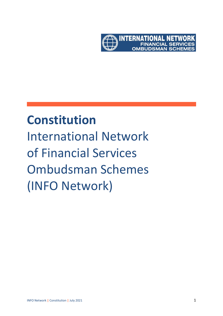

# **Constitution** International Network of Financial Services Ombudsman Schemes (INFO Network)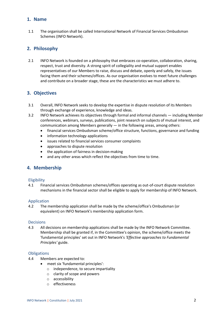## **1. Name**

1.1 The organisation shall be called International Network of Financial Services Ombudsman Schemes (INFO Network).

## **2. Philosophy**

2.1 INFO Network is founded on a philosophy that embraces co-operation, collaboration, sharing, respect, trust and diversity. A strong spirit of collegiality and mutual support enables representatives of our Members to raise, discuss and debate, openly and safely, the issues facing them and their schemes/offices. As our organisation evolves to meet future challenges and contribute on a broader stage, these are the characteristics we must adhere to.

# **3. Objectives**

- 3.1 Overall, INFO Network seeks to develop the expertise in dispute resolution of its Members through exchange of experience, knowledge and ideas.
- 3.2 INFO Network achieves its objectives through formal and informal channels including Member conferences, webinars, surveys, publications, joint research on subjects of mutual interest, and communication among Members generally  $-$  in the following areas, among others:
	- financial services Ombudsman scheme/office structure, functions, governance and funding
	- information technology applications
	- issues related to financial services consumer complaints
	- approaches to dispute resolution
	- the application of fairness in decision-making
	- and any other areas which reflect the objectives from time to time.

## **4. Membership**

## **Eligibility**

4.1 Financial services Ombudsman schemes/offices operating as out-of-court dispute resolution mechanisms in the financial sector shall be eligible to apply for membership of INFO Network.

## Application

4.2 The membership application shall be made by the scheme/office's Ombudsman (or equivalent) on INFO Network's membership application form.

#### Decisions

4.3 All decisions on membership applications shall be made by the INFO Network Committee. Membership shall be granted if, in the Committee's opinion, the scheme/office meets the 'fundamental principles' set out in INFO Network's *'Effective approaches to Fundamental Principles'* guide.

#### **Obligations**

- 4.4 Members are expected to:
	- meet six 'fundamental principles':
		- o independence, to secure impartiality
		- o clarity of scope and powers
		- o accessibility
		- o effectiveness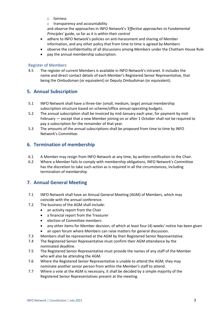- o fairness
- o transparency and accountability

and observe the approaches in INFO Network's *'Effective approaches to Fundamental Principles'* guide, so far as it is within their control

- adhere to INFO Network's policies on anti-harassment and sharing of Member information, and any other policy that from time to time is agreed by Members
- observe the confidentiality of all discussions among Members under the Chatham House Rule
- pay the annual membership subscription.

## Register of Members

4.5 The register of current Members is available in INFO Network's intranet. It includes the name and direct contact details of each Member's Registered Senior Representative, that being the Ombudsman (or equivalent) or Deputy Ombudsman (or equivalent).

## **5. Annual Subscription**

- 5.1 INFO Network shall have a three-tier (small, medium, large) annual membership subscription structure based on scheme/office annual operating budgets.
- 5.2 The annual subscription shall be invoiced by mid-January each year, for payment by mid-February — except that a new Member joining on or after 1 October shall not be required to pay a subscription for the remainder of that year.
- 5.3 The amounts of the annual subscriptions shall be proposed from time to time by INFO Network's Committee.

# **6. Termination of membership**

- 6.1 A Member may resign from INFO Network at any time, by written notification to the Chair.
- 6.2 Where a Member fails to comply with membership obligations, INFO Network's Committee has the discretion to take such action as is required in all the circumstances, including termination of membership.

## **7. Annual General Meeting**

- 7.1 INFO Network shall have an Annual General Meeting (AGM) of Members, which may coincide with the annual conference.
- 7.2 The business of the AGM shall include:
	- an activity report from the Chair
	- a financial report from the Treasurer
	- election of Committee members
	- any other items for Member decision, of which at least four (4) weeks' notice has been given
	- an open forum where Members can raise matters for general discussion.
- 7.3 Members shall be represented at the AGM by their Registered Senior Representative.
- 7.4 The Registered Senior Representative must confirm their AGM attendance by the nominated deadline.
- 7.5 The Registered Senior Representative must provide the names of any staff of the Member who will also be attending the AGM.
- 7.6 Where the Registered Senior Representative is unable to attend the AGM, they may nominate another senior person from within the Member's staff to attend.
- 7.7 Where a vote at the AGM is necessary, it shall be decided by a simple majority of the Registered Senior Representatives present at the meeting.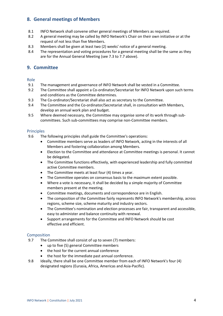# **8. General meetings of Members**

- 8.1 INFO Network shall convene other general meetings of Members as required.
- 8.2 A general meeting may be called by INFO Network's Chair on their own initiative or at the request of not less than five Members.
- 8.3 Members shall be given at least two (2) weeks' notice of a general meeting.
- 8.4 The representation and voting procedures for a general meeting shall be the same as they are for the Annual General Meeting (see 7.3 to 7.7 above).

## **9. Committee**

#### Role

- 9.1 The management and governance of INFO Network shall be vested in a Committee.
- 9.2 The Committee shall appoint a Co-ordinator/Secretariat for INFO Network upon such terms and conditions as the Committee determines.
- 9.3 The Co-ordinator/Secretariat shall also act as secretary to the Committee.
- 9.4 The Committee and the Co-ordinator/Secretariat shall, in consultation with Members, develop an annual work plan and budget.
- 9.5 Where deemed necessary, the Committee may organise some of its work through subcommittees. Such sub-committees may comprise non-Committee members.

#### Principles

- 9.6 The following principles shall guide the Committee's operations:
	- Committee members serve as leaders of INFO Network, acting in the interests of all Members and fostering collaboration among Members.
	- Election to the Committee and attendance at Committee meetings is personal. It cannot be delegated.
	- The Committee functions effectively, with experienced leadership and fully committed active Committee members.
	- The Committee meets at least four (4) times a year.
	- The Committee operates on consensus basis to the maximum extent possible.
	- Where a vote is necessary, it shall be decided by a simple majority of Committee members present at the meeting.
	- Committee meetings, documents and correspondence are in English.
	- The composition of the Committee fairly represents INFO Network's membership, across regions, scheme size, scheme maturity and industry sectors.
	- The Committee's nomination and election processes are fair, transparent and accessible, easy to administer and balance continuity with renewal.
	- Support arrangements for the Committee and INFO Network should be cost effective and efficient.

## Composition

- 9.7 The Committee shall consist of up to seven (7) members:
	- up to five (5) general Committee members
	- the host for the current annual conference
	- the host for the immediate past annual conference.
- 9.8 Ideally, there shall be one Committee member from each of INFO Network's four (4) designated regions (Eurasia, Africa, Americas and Asia-Pacific).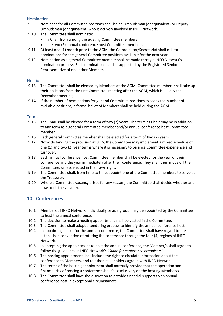#### Nomination

- 9.9 Nominees for all Committee positions shall be an Ombudsman (or equivalent) or Deputy Ombudsman (or equivalent) who is actively involved in INFO Network.
- 9.10 The Committee shall nominate:
	- a Chair from among the existing Committee members
	- the two (2) annual conference host Committee members.
- 9.11 At least one (1) month prior to the AGM, the Co-ordinator/Secretariat shall call for nominations for the general Committee positions available for the next year.
- 9.12 Nomination as a general Committee member shall be made through INFO Network's nomination process. Each nomination shall be supported by the Registered Senior Representative of one other Member.

#### Election

- 9.13 The Committee shall be elected by Members at the AGM. Committee members shall take up their positions from the first Committee meeting after the AGM, which is usually the December meeting.
- 9.14 If the number of nominations for general Committee positions exceeds the number of available positions, a formal ballot of Members shall be held during the AGM.

#### Terms

- 9.15 The Chair shall be elected for a term of two (2) years. The term as Chair may be in addition to any term as a general Committee member and/or annual conference host Committee member.
- 9.16 Each general Committee member shall be elected for a term of two (2) years.
- 9.17 Notwithstanding the provision at 8.16, the Committee may implement a mixed schedule of one (1) and two (2) year terms where it is necessary to balance Committee experience and turnover.
- 9.18 Each annual conference host Committee member shall be elected for the year of their conference and the year immediately after their conference. They shall then move off the Committee, unless elected in their own right.
- 9.19 The Committee shall, from time to time, appoint one of the Committee members to serve as the Treasurer.
- 9.20 Where a Committee vacancy arises for any reason, the Committee shall decide whether and how to fill the vacancy.

## **10. Conferences**

- 10.1 Members of INFO Network, individually or as a group, may be appointed by the Committee to host the annual conference.
- 10.2 The decision to make a hosting appointment shall be vested in the Committee.
- 10.3 The Committee shall adopt a tendering process to identify the annual conference host.
- 10.4 In appointing a host for the annual conference, the Committee shall have regard to the established convention of rotating the conference through the four (4) regions of INFO Network.
- 10.5 In accepting the appointment to host the annual conference, the Member/s shall agree to follow the guidelines in INFO Network's *'Guide for conference organisers'*.
- 10.6 The hosting appointment shall include the right to circulate information about the conference to Members, and to other stakeholders agreed with INFO Network.
- 10.7 The terms of the hosting appointment shall normally provide that the operation and financial risk of hosting a conference shall fall exclusively on the hosting Member/s.
- 10.8 The Committee shall have the discretion to provide financial support to an annual conference host in exceptional circumstances.